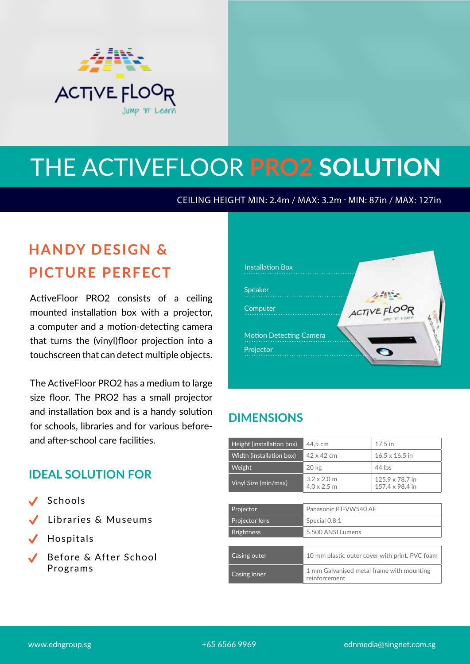

# THE ACTIVEFLOOR **PRO2 SOLUTION**

CEILING HEIGHT MIN: 2.4m / MAX: 3.2m . MIN: 87in / MAX: 127in

## **HANDY DESIGN & PICTURE PERFECT**

ActiveFloor PRO2 consists of a ceiling mounted installation box with a projector, a computer and a motion-detecting camera that turns the (vinyl)floor projection into a touchscreen that can detect multiple objects.

The ActiveFloor PRO2 has a medium to large size floor. The PRO2 has a small projector and installation box and is a handy solution for schools, libraries and for various beforeand after-school care facilities.

#### **IDEAL SOLUTION FOR**

- $\checkmark$ Schools
- $\checkmark$ Libraries & Museums
- $\checkmark$ Hospitals
- Before & After School Programs



### **DIMENSIONS**

| Height (installation box) | 44,5 cm                                                    | $17.5$ in                          |  |
|---------------------------|------------------------------------------------------------|------------------------------------|--|
| Width (installation box)  | $42 \times 42$ cm                                          | $16.5 \times 16.5$ in              |  |
| Weight                    | $20 \text{ kg}$                                            | 44 lbs                             |  |
| Vinyl Size (min/max)      | $3.2 \times 2.0$ m<br>$4.0 \times 2.5$ m                   | 125.9 x 78.7 in<br>157.4 x 98.4 in |  |
|                           |                                                            |                                    |  |
| Projector                 | Panasonic PT-VW540 AF                                      |                                    |  |
| Projector lens            | Special 0.8:1                                              |                                    |  |
| <b>Brightness</b>         | 5.500 ANSI Lumens                                          |                                    |  |
|                           |                                                            |                                    |  |
| Casing outer              | 10 mm plastic outer cover with print. PVC foam             |                                    |  |
| Casing inner              | 1 mm Galvanised metal frame with mounting<br>reinforcement |                                    |  |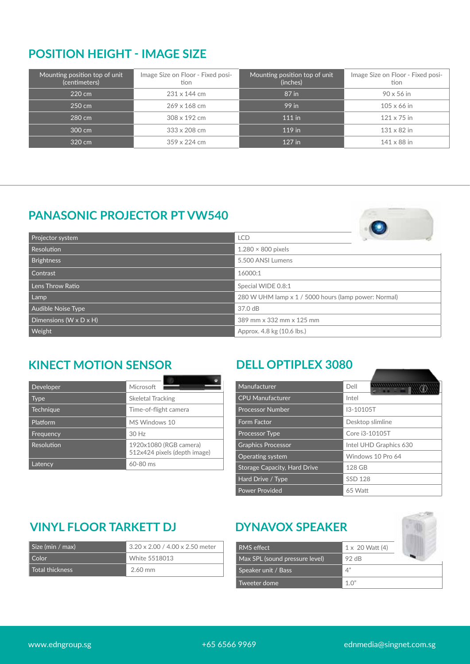#### **POSITION HEIGHT - IMAGE SIZE**

| Mounting position top of unit<br>(centimeters) | Image Size on Floor - Fixed posi-<br>tion | Mounting position top of unit<br>(inches) | Image Size on Floor - Fixed posi-<br>tion |
|------------------------------------------------|-------------------------------------------|-------------------------------------------|-------------------------------------------|
| 220 cm                                         | 231 x 144 cm                              | 87 in                                     | $90 \times 56$ in                         |
| $250 \text{ cm}$                               | 269 x 168 cm                              | 99 in                                     | $105 \times 66$ in                        |
| 280 cm                                         | 308 x 192 cm                              | $111$ in                                  | $121 \times 75$ in                        |
| 300 cm                                         | 333 x 208 cm                              | 119 in                                    | $131 \times 82$ in                        |
| 320 cm                                         | $359 \times 224$ cm                       | 127 in                                    | $141 \times 88$ in                        |

#### **PANASONIC PROJECTOR PT VW540**



| Projector system                     | <b>LCD</b>                                           |  |
|--------------------------------------|------------------------------------------------------|--|
| <b>Resolution</b>                    | $1.280 \times 800$ pixels                            |  |
| <b>Brightness</b>                    | 5.500 ANSI Lumens                                    |  |
| Contrast                             | 16000:1                                              |  |
| $\mid$ Lens Throw Ratio              | Special WIDE 0.8:1                                   |  |
| Lamp                                 | 280 W UHM lamp x 1 / 5000 hours (lamp power: Normal) |  |
| Audible Noise Type                   | 37.0 dB                                              |  |
| Dimensions (W $\times$ D $\times$ H) | 389 mm x 332 mm x 125 mm                             |  |
| <b>Weight</b>                        | Approx. 4.8 kg (10.6 lbs.)                           |  |

### **KINECT MOTION SENSOR DELL OPTIPLEX 3080**

| Developer  | Microsoft                                              |  |
|------------|--------------------------------------------------------|--|
| Type       | <b>Skeletal Tracking</b>                               |  |
| Technique  | Time-of-flight camera                                  |  |
| Platform   | MS Windows 10                                          |  |
| Frequency  | 30 Hz                                                  |  |
| Resolution | 1920x1080 (RGB camera)<br>512x424 pixels (depth image) |  |
| Latency    | 60-80 ms                                               |  |

| Manufacturer                        | Dell                   |  |
|-------------------------------------|------------------------|--|
| <b>CPU Manufacturer</b>             | Intel                  |  |
| <b>Processor Number</b>             | I3-10105T              |  |
| Form Factor                         | Desktop slimline       |  |
| <b>Processor Type</b>               | Core i3-10105T         |  |
| <b>Graphics Processor</b>           | Intel UHD Graphics 630 |  |
| Operating system                    | Windows 10 Pro 64      |  |
| <b>Storage Capacity, Hard Drive</b> | 128 GB                 |  |
| Hard Drive / Type                   | <b>SSD 128</b>         |  |
| <b>Power Provided</b>               | $65$ Watt              |  |

### **VINYL FLOOR TARKETT DJ DYNAVOX SPEAKER**

| Size (min / max) | $3.20 \times 2.00$ / 4.00 x 2.50 meter |
|------------------|----------------------------------------|
| Color            | White 5518013                          |
| Total thickness  | $2.60 \text{ mm}$                      |

| <b>RMS</b> effect              | $1 \times 20$ Watt (4) |  |
|--------------------------------|------------------------|--|
| Max SPL (sound pressure level) | 92 $\overline{AB}$     |  |
| Speaker unit / Bass            | 4"                     |  |
| Tweeter dome                   | 1 $\bigcap$ "          |  |